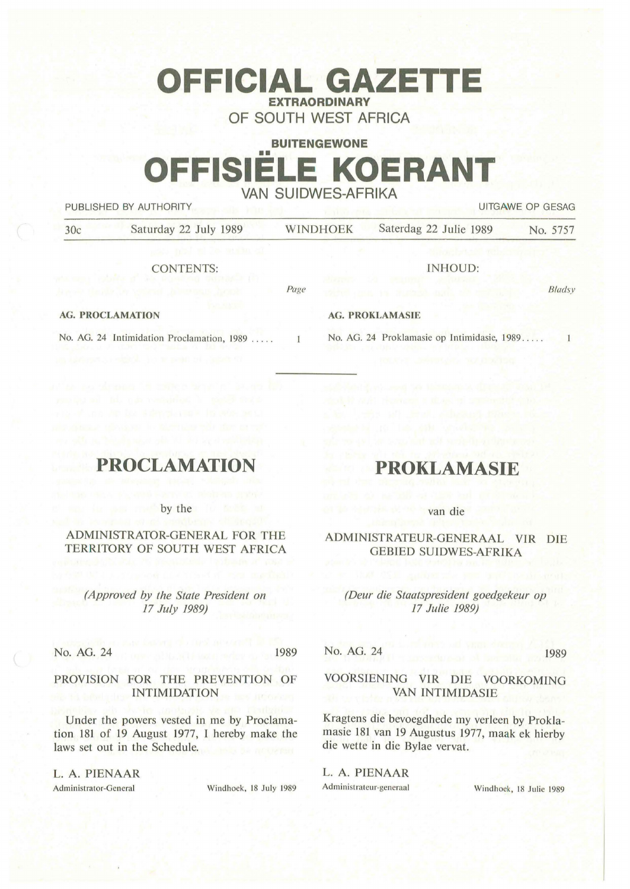# **OFFICIAL GAZETTE EXTRAORDINARY OF SOUTH WEST AFRICA**

**BUITENGEWONE** 

# **FFISIELE KOERANT VAN SUIDWES-AFRIKA**

PUBLISHED BY AUTHORITY **AUTHORITY EXECUTES EXECUTES UITGAWE OP GESAG** 

| 30c                     | Saturday 22 July 1989                  | <b>WINDHOEK</b>        | Saterdag 22 Julie 1989 | No. 5757 |
|-------------------------|----------------------------------------|------------------------|------------------------|----------|
|                         | cats model well be meeting car         |                        |                        |          |
|                         | <b>CONTENTS:</b>                       |                        | INHOUD:                |          |
|                         | A ALM DAY YA TAFA BI JAN JAMAR DA MATA | Page                   |                        | Bladsy   |
| <b>AG. PROCLAMATION</b> |                                        | <b>AG. PROKLAMASIE</b> |                        |          |

 $\mathbf{1}$ 

#### **AG. PROCLAMATION**

No. AG. 24 Intimidation Proclamation, 1989 .....

## **PROCLAMATION**

by the

### ADMINISTRATOR-GENERAL FOR THE TERRITORY OF SOUTH WEST AFRICA

*(Approved by the State President on 17 July 1989)* 

No. AG. 24 1989

#### **PROVISION FOR** THE **PREVENTION** OF **INTIMIDATION**

Under the powers vested in me by Proclamation 181 of 19 August 1977, I hereby make the laws set out in the Schedule.

L. **A. PIENAAR**  Administrator-General Windhoek, 18 July 1989

# **PROKLAMASIE**

No. AG. 24 Proklamasie op lntimidasie, 1989 .....

van die

### ADMINISTRATEUR-GENERAAL VIR DIE GEBIED SUIDWES-AFRIKA

#### *(Deur die Staatspresident goedgekeur op 17 Julie 1989)*

No. AG. 24 1989

### **VOORSIENING VIR DIE VOORKOMING VAN INTIMIDASIE**

Kragtens die bevoegdhede my verleen by Proklamasie 181 van 19 Augustus 1977, maak ek hierby die wette in die Bylae vervat.

**L. A. PIENAAR**  Administrateur-generaal Windhoek, 18 Julie 1989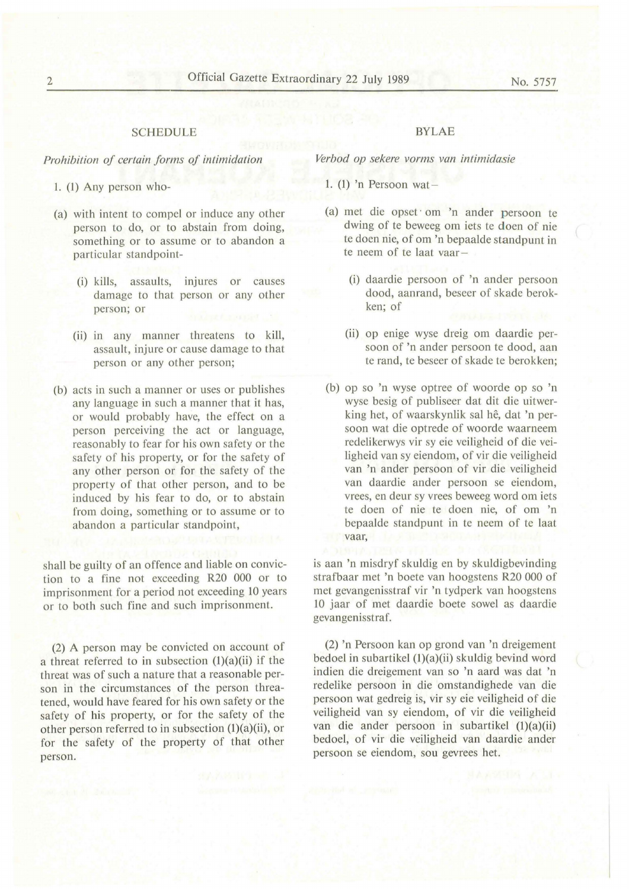#### SCHEDULE

#### *Prohibition of certain forms of intimidation*

1. (1) Any person who-

- (a) with intent to compel or induce any other person to do, or to abstain from doing, something or to assume or to abandon a particular standpoint-
	- (i) kills, assaults, injures or causes damage to that person or any other person; or
	- (ii) in any manner threatens to kill, assault, injure or cause damage to that person or any other person;
- (b) acts in such a manner or uses or publishes any language in such a manner that it has, or would probably have, the effect on a person perceiving the act or language, reasonably to fear for his own safety or the safety of his property, or for the safety of any other person or for the safety of the property of that other person, and to be induced by his fear to do, or to abstain from doing, something or to assume or to abandon a particular standpoint,

shall be guilty of an offence and liable on conviction to a fine not exceeding R20 000 or to imprisonment for a period not exceeding IO years or to both such fine and such imprisonment.

(2) A person may be convicted on account of a threat referred to in subsection  $(1)(a)(ii)$  if the threat was of such a nature that a reasonable person in the circumstances of the person threatened, would have feared for his own safety or the safety of his property, or for the safety of the other person referred to in subsection (l)(a)(ii), or for the safety of the property of that other person.

#### BYLAE

*Verbod op sekere vorms van intimidasie* 

- 1. (1) 'n Persoon wat-
- (a) met die opset · om 'n ander persoon te dwing of te beweeg om iets te doen of nie te doen nie, of om 'n bepaalde standpunt in te neem of te laat vaar-
	- (i) daardie persoon of 'n ander persoon dood, aanrand, beseer of skade berokken; of
	- (ii) op enige wyse dreig om daardie persoon of 'n ander persoon te dood, aan te rand, te beseer of skade te berokken;
- (b) op so 'n wyse optree of woorde op so 'n wyse besig of publiseer dat dit die uitwerking het, of waarskynlik sal hê, dat 'n persoon wat die optrede of woorde waarneem redelikerwys vir sy eie veiligheid of die veiligheid van sy eiendom, of vir die veiligheid van 'n ander persoon of vir die veiligheid van daardie ander persoon se eiendom, vrees, en deur sy vrees beweeg word om iets te doen of nie te doen nie, of om 'n bepaalde standpunt in te neem of te laat vaar,

is aan 'n misdryf skuldig en by skuldigbevinding strafbaar met 'n boete van hoogstens R20 000 of met gevangenisstraf vir 'n tydperk van hoogstens IO jaar of met daardie boete sowel as daardie gevangenisstraf.

(2) 'n Persoon kan op grond van 'n dreigement bedoel in subartikel (1)(a)(ii) skuldig bevind word indien die dreigement van so 'n aard was dat 'n redelike persoon in die omstandighede van die persoon wat gedreig is, vir sy eie veiligheid of die veiligheid van sy eiendom, of vir die veiligheid van die ander persoon in subartikel (1)(a)(ii) bedoel, of vir die veiligheid van daardie ander persoon se eiendom, sou gevrees het.